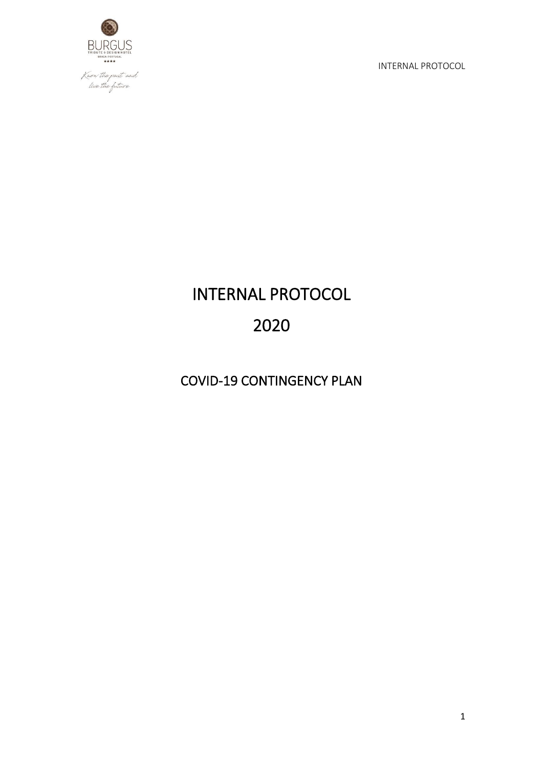

# INTERNAL PROTOCOL 2020

COVID-19 CONTINGENCY PLAN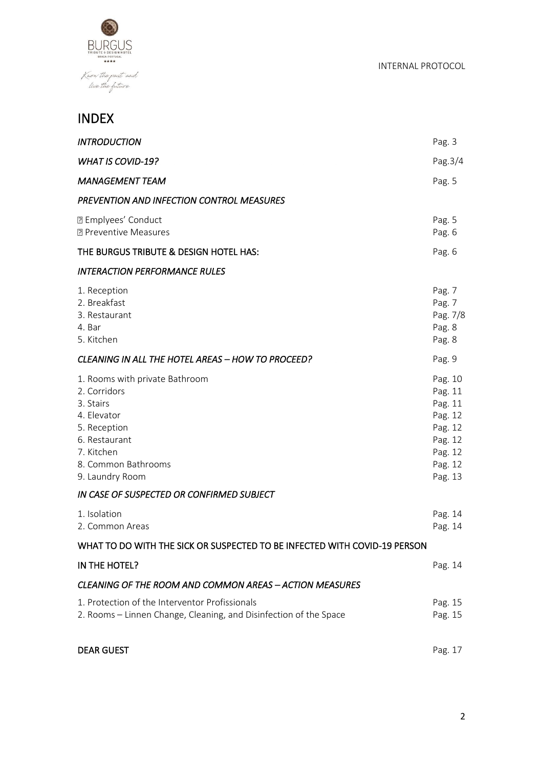

# INDEX

| <b>INTRODUCTION</b>                                                                                                                                                 | Pag. 3                                                                                          |
|---------------------------------------------------------------------------------------------------------------------------------------------------------------------|-------------------------------------------------------------------------------------------------|
| <b>WHAT IS COVID-19?</b>                                                                                                                                            | Pag. 3/4                                                                                        |
| <b>MANAGEMENT TEAM</b>                                                                                                                                              | Pag. 5                                                                                          |
| PREVENTION AND INFECTION CONTROL MEASURES                                                                                                                           |                                                                                                 |
| <b>P</b> Emplyees' Conduct<br><b>2 Preventive Measures</b>                                                                                                          | Pag. 5<br>Pag. 6                                                                                |
| THE BURGUS TRIBUTE & DESIGN HOTEL HAS:                                                                                                                              | Pag. 6                                                                                          |
| <b>INTERACTION PERFORMANCE RULES</b>                                                                                                                                |                                                                                                 |
| 1. Reception<br>2. Breakfast<br>3. Restaurant<br>4. Bar<br>5. Kitchen                                                                                               | Pag. 7<br>Pag. 7<br>Pag. 7/8<br>Pag. 8<br>Pag. 8                                                |
| <b>CLEANING IN ALL THE HOTEL AREAS - HOW TO PROCEED?</b>                                                                                                            | Pag. 9                                                                                          |
| 1. Rooms with private Bathroom<br>2. Corridors<br>3. Stairs<br>4. Elevator<br>5. Reception<br>6. Restaurant<br>7. Kitchen<br>8. Common Bathrooms<br>9. Laundry Room | Pag. 10<br>Pag. 11<br>Pag. 11<br>Pag. 12<br>Pag. 12<br>Pag. 12<br>Pag. 12<br>Pag. 12<br>Pag. 13 |
| IN CASE OF SUSPECTED OR CONFIRMED SUBJECT                                                                                                                           |                                                                                                 |
| 1. Isolation<br>2. Common Areas                                                                                                                                     | Pag. 14<br>Pag. 14                                                                              |
| WHAT TO DO WITH THE SICK OR SUSPECTED TO BE INFECTED WITH COVID-19 PERSON                                                                                           |                                                                                                 |
| IN THE HOTEL?                                                                                                                                                       | Pag. 14                                                                                         |
| <b>CLEANING OF THE ROOM AND COMMON AREAS - ACTION MEASURES</b>                                                                                                      |                                                                                                 |
| 1. Protection of the Interventor Profissionals<br>2. Rooms - Linnen Change, Cleaning, and Disinfection of the Space                                                 | Pag. 15<br>Pag. 15                                                                              |
| <b>DEAR GUEST</b>                                                                                                                                                   | Pag. 17                                                                                         |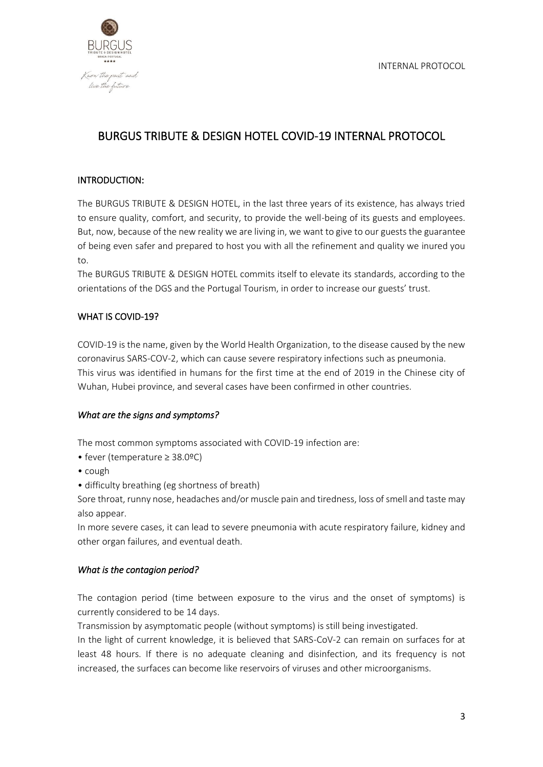

# BURGUS TRIBUTE & DESIGN HOTEL COVID-19 INTERNAL PROTOCOL

#### INTRODUCTION:

The BURGUS TRIBUTE & DESIGN HOTEL, in the last three years of its existence, has always tried to ensure quality, comfort, and security, to provide the well-being of its guests and employees. But, now, because of the new reality we are living in, we want to give to our guests the guarantee of being even safer and prepared to host you with all the refinement and quality we inured you to.

The BURGUS TRIBUTE & DESIGN HOTEL commits itself to elevate its standards, according to the orientations of the DGS and the Portugal Tourism, in order to increase our guests' trust.

#### WHAT IS COVID-19?

COVID-19 is the name, given by the World Health Organization, to the disease caused by the new coronavirus SARS-COV-2, which can cause severe respiratory infections such as pneumonia. This virus was identified in humans for the first time at the end of 2019 in the Chinese city of Wuhan, Hubei province, and several cases have been confirmed in other countries.

#### *What are the signs and symptoms?*

The most common symptoms associated with COVID-19 infection are:

- fever (temperature ≥ 38.0ºC)
- cough
- difficulty breathing (eg shortness of breath)

Sore throat, runny nose, headaches and/or muscle pain and tiredness, loss of smell and taste may also appear.

In more severe cases, it can lead to severe pneumonia with acute respiratory failure, kidney and other organ failures, and eventual death.

#### *What is the contagion period?*

The contagion period (time between exposure to the virus and the onset of symptoms) is currently considered to be 14 days.

Transmission by asymptomatic people (without symptoms) is still being investigated.

In the light of current knowledge, it is believed that SARS-CoV-2 can remain on surfaces for at least 48 hours. If there is no adequate cleaning and disinfection, and its frequency is not increased, the surfaces can become like reservoirs of viruses and other microorganisms.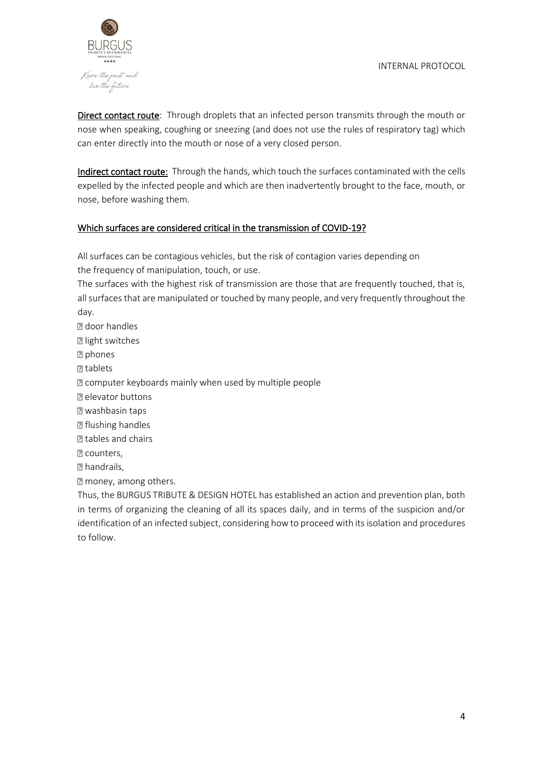

Direct contact route: Through droplets that an infected person transmits through the mouth or nose when speaking, coughing or sneezing (and does not use the rules of respiratory tag) which can enter directly into the mouth or nose of a very closed person.

Indirect contact route: Through the hands, which touch the surfaces contaminated with the cells expelled by the infected people and which are then inadvertently brought to the face, mouth, or nose, before washing them.

#### Which surfaces are considered critical in the transmission of COVID-19?

All surfaces can be contagious vehicles, but the risk of contagion varies depending on the frequency of manipulation, touch, or use.

The surfaces with the highest risk of transmission are those that are frequently touched, that is, all surfaces that are manipulated or touched by many people, and very frequently throughout the day.

door handles **D** light switches **P** phones **P** tablets computer keyboards mainly when used by multiple people **P** elevator buttons washbasin taps **P** flushing handles **Z** tables and chairs **P** counters, **Z** handrails, money, among others. Thus, the BURGUS TRIBUTE & DESIGN HOTEL has established an action and prevention plan, both in terms of organizing the cleaning of all its spaces daily, and in terms of the suspicion and/or identification of an infected subject, considering how to proceed with its isolation and procedures

to follow.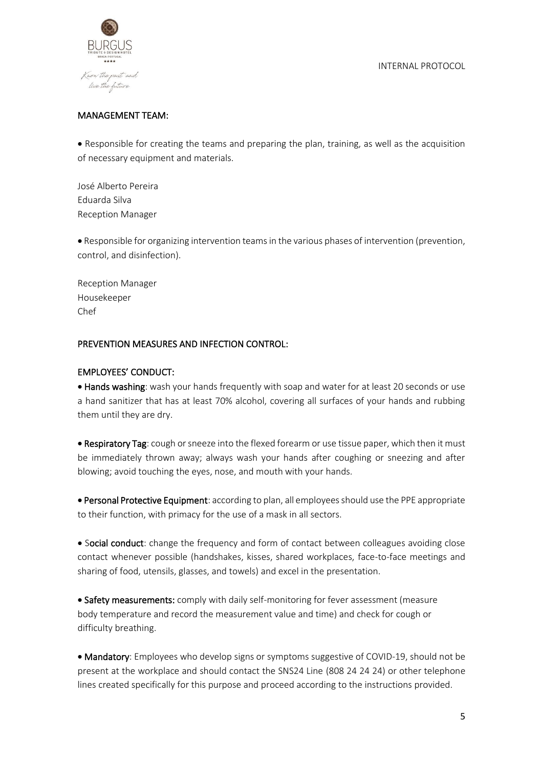

#### MANAGEMENT TEAM:

• Responsible for creating the teams and preparing the plan, training, as well as the acquisition of necessary equipment and materials.

José Alberto Pereira Eduarda Silva Reception Manager

• Responsible for organizing intervention teams in the various phases of intervention (prevention, control, and disinfection).

Reception Manager Housekeeper Chef

#### PREVENTION MEASURES AND INFECTION CONTROL:

#### EMPLOYEES' CONDUCT:

• Hands washing: wash your hands frequently with soap and water for at least 20 seconds or use a hand sanitizer that has at least 70% alcohol, covering all surfaces of your hands and rubbing them until they are dry.

• Respiratory Tag: cough or sneeze into the flexed forearm or use tissue paper, which then it must be immediately thrown away; always wash your hands after coughing or sneezing and after blowing; avoid touching the eyes, nose, and mouth with your hands.

• Personal Protective Equipment: according to plan, all employees should use the PPE appropriate to their function, with primacy for the use of a mask in all sectors.

• Social conduct: change the frequency and form of contact between colleagues avoiding close contact whenever possible (handshakes, kisses, shared workplaces, face-to-face meetings and sharing of food, utensils, glasses, and towels) and excel in the presentation.

• Safety measurements: comply with daily self-monitoring for fever assessment (measure body temperature and record the measurement value and time) and check for cough or difficulty breathing.

• Mandatory: Employees who develop signs or symptoms suggestive of COVID-19, should not be present at the workplace and should contact the SNS24 Line (808 24 24 24) or other telephone lines created specifically for this purpose and proceed according to the instructions provided.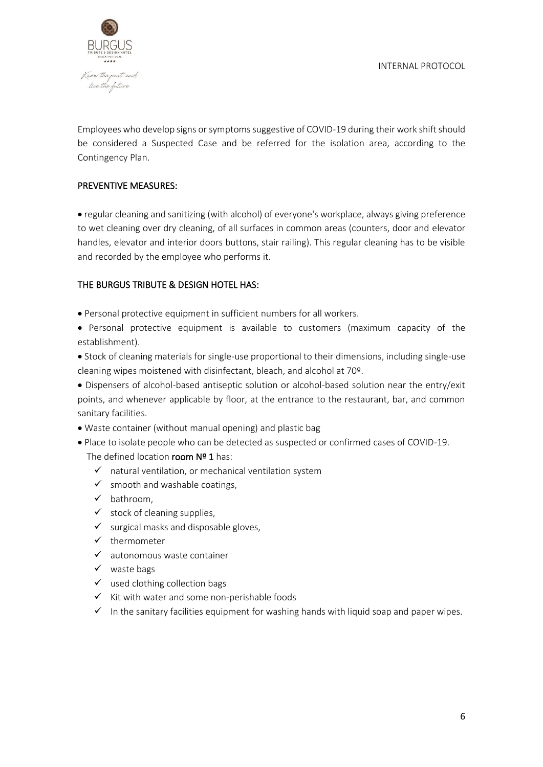

Employees who develop signs or symptoms suggestive of COVID-19 during their work shift should be considered a Suspected Case and be referred for the isolation area, according to the Contingency Plan.

#### PREVENTIVE MEASURES:

• regular cleaning and sanitizing (with alcohol) of everyone's workplace, always giving preference to wet cleaning over dry cleaning, of all surfaces in common areas (counters, door and elevator handles, elevator and interior doors buttons, stair railing). This regular cleaning has to be visible and recorded by the employee who performs it.

#### THE BURGUS TRIBUTE & DESIGN HOTEL HAS:

- Personal protective equipment in sufficient numbers for all workers.
- Personal protective equipment is available to customers (maximum capacity of the establishment).
- Stock of cleaning materials for single-use proportional to their dimensions, including single-use cleaning wipes moistened with disinfectant, bleach, and alcohol at 70º.

• Dispensers of alcohol-based antiseptic solution or alcohol-based solution near the entry/exit points, and whenever applicable by floor, at the entrance to the restaurant, bar, and common sanitary facilities.

- Waste container (without manual opening) and plastic bag
- Place to isolate people who can be detected as suspected or confirmed cases of COVID-19.

#### The defined location room  $N<sup>2</sup> 1$  has:

- $\checkmark$  natural ventilation, or mechanical ventilation system
- $\checkmark$  smooth and washable coatings,
- ✓ bathroom,
- $\checkmark$  stock of cleaning supplies,
- $\checkmark$  surgical masks and disposable gloves,
- ✓ thermometer
- $\checkmark$  autonomous waste container
- ✓ waste bags
- $\checkmark$  used clothing collection bags
- ✓ Kit with water and some non-perishable foods
- $\checkmark$  In the sanitary facilities equipment for washing hands with liquid soap and paper wipes.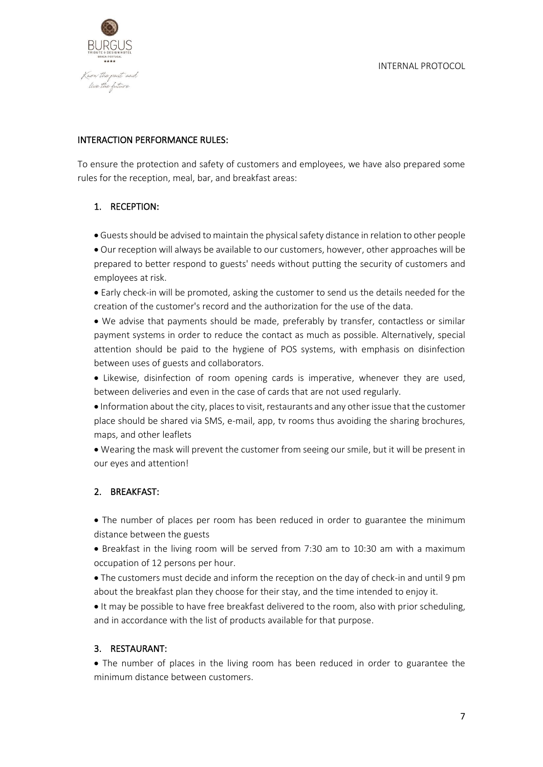

#### INTERACTION PERFORMANCE RULES:

To ensure the protection and safety of customers and employees, we have also prepared some rules for the reception, meal, bar, and breakfast areas:

## 1. RECEPTION:

- Guests should be advised to maintain the physical safety distance in relation to other people
- Our reception will always be available to our customers, however, other approaches will be prepared to better respond to guests' needs without putting the security of customers and employees at risk.
- Early check-in will be promoted, asking the customer to send us the details needed for the creation of the customer's record and the authorization for the use of the data.

• We advise that payments should be made, preferably by transfer, contactless or similar payment systems in order to reduce the contact as much as possible. Alternatively, special attention should be paid to the hygiene of POS systems, with emphasis on disinfection between uses of guests and collaborators.

• Likewise, disinfection of room opening cards is imperative, whenever they are used, between deliveries and even in the case of cards that are not used regularly.

• Information about the city, places to visit, restaurants and any other issue that the customer place should be shared via SMS, e-mail, app, tv rooms thus avoiding the sharing brochures, maps, and other leaflets

• Wearing the mask will prevent the customer from seeing our smile, but it will be present in our eyes and attention!

#### 2. BREAKFAST:

• The number of places per room has been reduced in order to guarantee the minimum distance between the guests

• Breakfast in the living room will be served from 7:30 am to 10:30 am with a maximum occupation of 12 persons per hour.

• The customers must decide and inform the reception on the day of check-in and until 9 pm about the breakfast plan they choose for their stay, and the time intended to enjoy it.

• It may be possible to have free breakfast delivered to the room, also with prior scheduling, and in accordance with the list of products available for that purpose.

#### 3. RESTAURANT:

• The number of places in the living room has been reduced in order to guarantee the minimum distance between customers.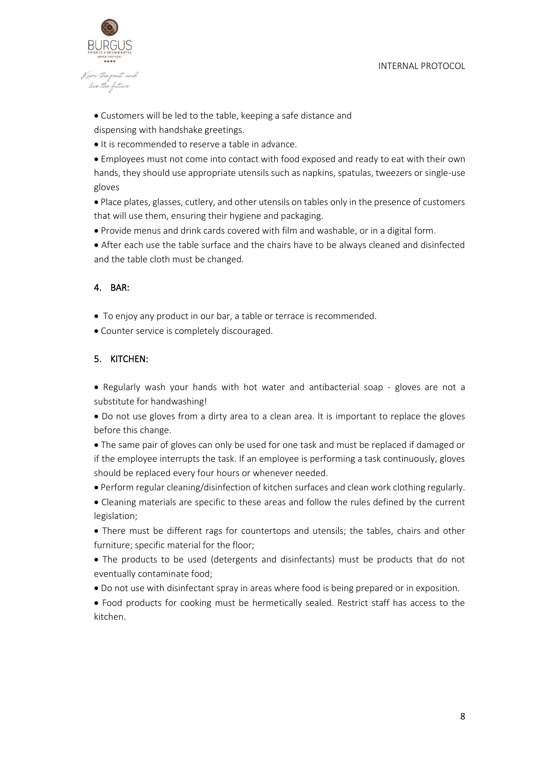

• Customers will be led to the table, keeping a safe distance and dispensing with handshake greetings.

• It is recommended to reserve a table in advance.

• Employees must not come into contact with food exposed and ready to eat with their own hands, they should use appropriate utensils such as napkins, spatulas, tweezers or single-use gloves

• Place plates, glasses, cutlery, and other utensils on tables only in the presence of customers that will use them, ensuring their hygiene and packaging.

• Provide menus and drink cards covered with film and washable, or in a digital form.

• After each use the table surface and the chairs have to be always cleaned and disinfected and the table cloth must be changed.

#### 4. BAR:

- To enjoy any product in our bar, a table or terrace is recommended.
- Counter service is completely discouraged.

#### 5. KITCHEN:

• Regularly wash your hands with hot water and antibacterial soap - gloves are not a substitute for handwashing!

• Do not use gloves from a dirty area to a clean area. It is important to replace the gloves before this change.

• The same pair of gloves can only be used for one task and must be replaced if damaged or if the employee interrupts the task. If an employee is performing a task continuously, gloves should be replaced every four hours or whenever needed.

• Perform regular cleaning/disinfection of kitchen surfaces and clean work clothing regularly.

• Cleaning materials are specific to these areas and follow the rules defined by the current legislation;

• There must be different rags for countertops and utensils; the tables, chairs and other furniture; specific material for the floor;

• The products to be used (detergents and disinfectants) must be products that do not eventually contaminate food;

• Do not use with disinfectant spray in areas where food is being prepared or in exposition.

• Food products for cooking must be hermetically sealed. Restrict staff has access to the kitchen.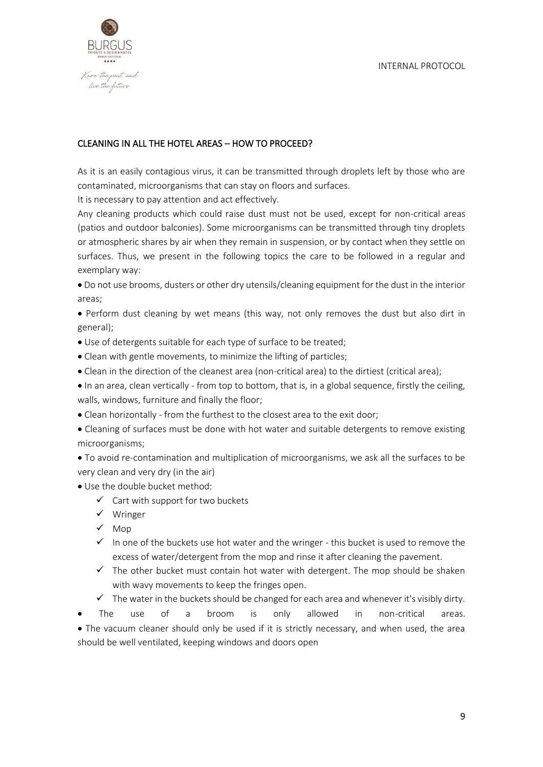

#### CLEANING IN ALL THE HOTEL AREAS – HOW TO PROCEED?

As it is an easily contagious virus, it can be transmitted through droplets left by those who are contaminated, microorganisms that can stay on floors and surfaces.

It is necessary to pay attention and act effectively.

Any cleaning products which could raise dust must not be used, except for non-critical areas (patios and outdoor balconies). Some microorganisms can be transmitted through tiny droplets or atmospheric shares by air when they remain in suspension, or by contact when they settle on surfaces. Thus, we present in the following topics the care to be followed in a regular and exemplary way:

• Do not use brooms, dusters or other dry utensils/cleaning equipment for the dust in the interior areas;

• Perform dust cleaning by wet means (this way, not only removes the dust but also dirt in general);

• Use of detergents suitable for each type of surface to be treated;

- Clean with gentle movements, to minimize the lifting of particles;
- Clean in the direction of the cleanest area (non-critical area) to the dirtiest (critical area);

• In an area, clean vertically - from top to bottom, that is, in a global sequence, firstly the ceiling, walls, windows, furniture and finally the floor;

• Clean horizontally - from the furthest to the closest area to the exit door;

• Cleaning of surfaces must be done with hot water and suitable detergents to remove existing microorganisms;

• To avoid re-contamination and multiplication of microorganisms, we ask all the surfaces to be very clean and very dry (in the air)

- Use the double bucket method:
	- $\checkmark$  Cart with support for two buckets
	- ✓ Wringer
	- ✓ Mop
	- $\checkmark$  In one of the buckets use hot water and the wringer this bucket is used to remove the excess of water/detergent from the mop and rinse it after cleaning the pavement.
	- $\checkmark$  The other bucket must contain hot water with detergent. The mop should be shaken with wavy movements to keep the fringes open.
	- $\checkmark$  The water in the buckets should be changed for each area and whenever it's visibly dirty.

The use of a broom is only allowed in non-critical areas. • The vacuum cleaner should only be used if it is strictly necessary, and when used, the area should be well ventilated, keeping windows and doors open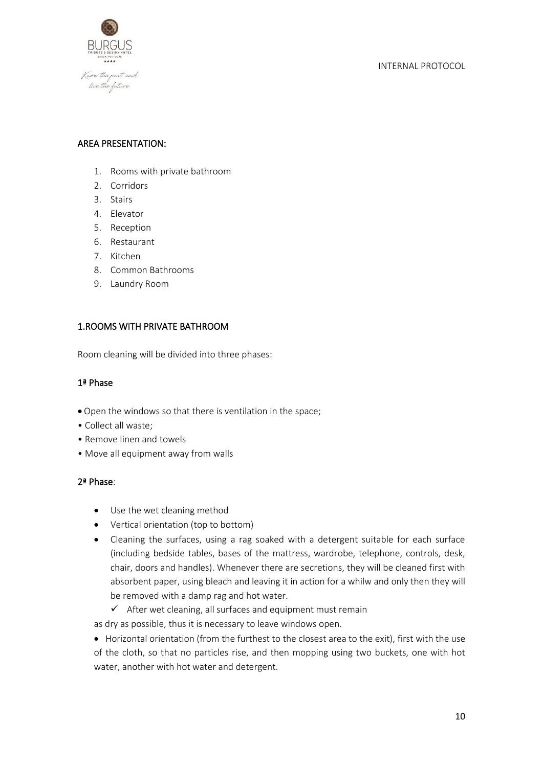

#### AREA PRESENTATION:

- 1. Rooms with private bathroom
- 2. Corridors
- 3. Stairs
- 4. Elevator
- 5. Reception
- 6. Restaurant
- 7. Kitchen
- 8. Common Bathrooms
- 9. Laundry Room

#### 1.ROOMS WITH PRIVATE BATHROOM

Room cleaning will be divided into three phases:

## 1ª Phase

- Open the windows so that there is ventilation in the space;
- Collect all waste;
- Remove linen and towels
- Move all equipment away from walls

#### 2ª Phase:

- Use the wet cleaning method
- Vertical orientation (top to bottom)
- Cleaning the surfaces, using a rag soaked with a detergent suitable for each surface (including bedside tables, bases of the mattress, wardrobe, telephone, controls, desk, chair, doors and handles). Whenever there are secretions, they will be cleaned first with absorbent paper, using bleach and leaving it in action for a whilw and only then they will be removed with a damp rag and hot water.
	- $\checkmark$  After wet cleaning, all surfaces and equipment must remain

as dry as possible, thus it is necessary to leave windows open.

• Horizontal orientation (from the furthest to the closest area to the exit), first with the use of the cloth, so that no particles rise, and then mopping using two buckets, one with hot water, another with hot water and detergent.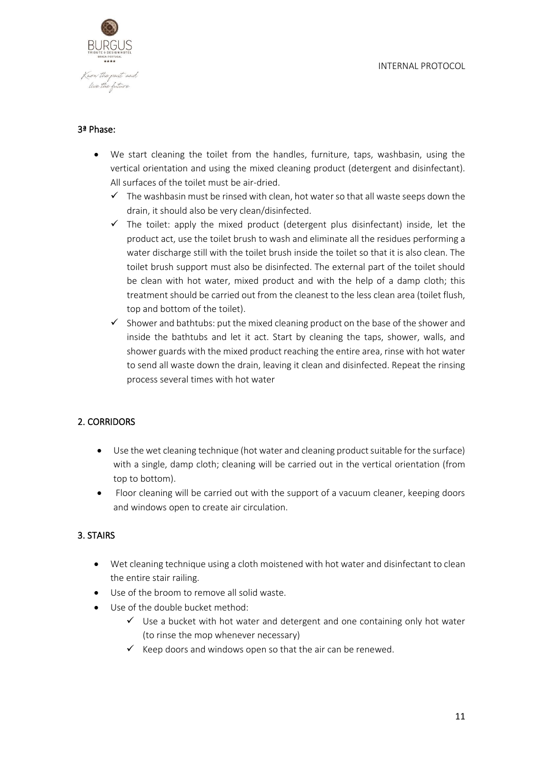

#### 3ª Phase:

- We start cleaning the toilet from the handles, furniture, taps, washbasin, using the vertical orientation and using the mixed cleaning product (detergent and disinfectant). All surfaces of the toilet must be air-dried.
	- $\checkmark$  The washbasin must be rinsed with clean, hot water so that all waste seeps down the drain, it should also be very clean/disinfected.
	- $\checkmark$  The toilet: apply the mixed product (detergent plus disinfectant) inside, let the product act, use the toilet brush to wash and eliminate all the residues performing a water discharge still with the toilet brush inside the toilet so that it is also clean. The toilet brush support must also be disinfected. The external part of the toilet should be clean with hot water, mixed product and with the help of a damp cloth; this treatment should be carried out from the cleanest to the less clean area (toilet flush, top and bottom of the toilet).
	- $\checkmark$  Shower and bathtubs: put the mixed cleaning product on the base of the shower and inside the bathtubs and let it act. Start by cleaning the taps, shower, walls, and shower guards with the mixed product reaching the entire area, rinse with hot water to send all waste down the drain, leaving it clean and disinfected. Repeat the rinsing process several times with hot water

#### 2. CORRIDORS

- Use the wet cleaning technique (hot water and cleaning product suitable for the surface) with a single, damp cloth; cleaning will be carried out in the vertical orientation (from top to bottom).
- Floor cleaning will be carried out with the support of a vacuum cleaner, keeping doors and windows open to create air circulation.

#### 3. STAIRS

- Wet cleaning technique using a cloth moistened with hot water and disinfectant to clean the entire stair railing.
- Use of the broom to remove all solid waste.
- Use of the double bucket method:
	- $\checkmark$  Use a bucket with hot water and detergent and one containing only hot water (to rinse the mop whenever necessary)
	- $\checkmark$  Keep doors and windows open so that the air can be renewed.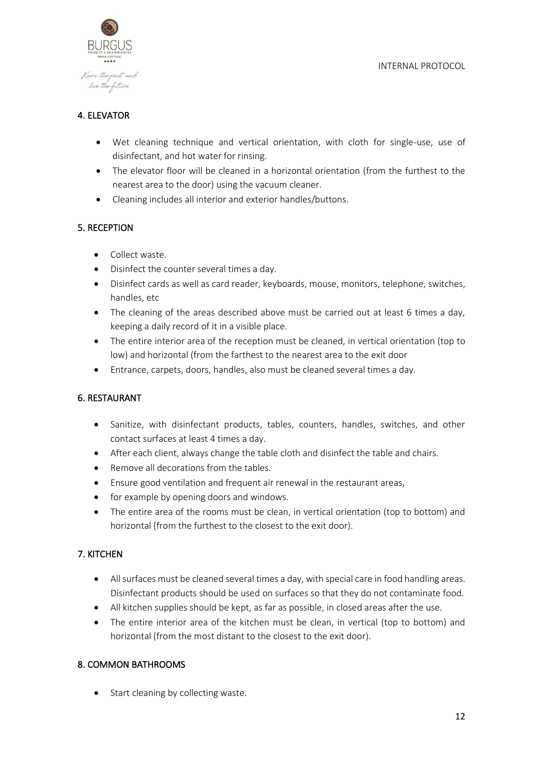

# 4. ELEVATOR

- Wet cleaning technique and vertical orientation, with cloth for single-use, use of disinfectant, and hot water for rinsing.
- The elevator floor will be cleaned in a horizontal orientation (from the furthest to the nearest area to the door) using the vacuum cleaner.
- Cleaning includes all interior and exterior handles/buttons.

#### 5. RECEPTION

- Collect waste.
- Disinfect the counter several times a day.
- Disinfect cards as well as card reader, keyboards, mouse, monitors, telephone, switches, handles, etc
- The cleaning of the areas described above must be carried out at least 6 times a day, keeping a daily record of it in a visible place.
- The entire interior area of the reception must be cleaned, in vertical orientation (top to low) and horizontal (from the farthest to the nearest area to the exit door
- Entrance, carpets, doors, handles, also must be cleaned several times a day.

#### 6. RESTAURANT

- Sanitize, with disinfectant products, tables, counters, handles, switches, and other contact surfaces at least 4 times a day.
- After each client, always change the table cloth and disinfect the table and chairs.
- Remove all decorations from the tables.
- Ensure good ventilation and frequent air renewal in the restaurant areas,
- for example by opening doors and windows.
- The entire area of the rooms must be clean, in vertical orientation (top to bottom) and horizontal (from the furthest to the closest to the exit door).

#### 7. KITCHEN

- All surfaces must be cleaned several times a day, with special care in food handling areas. Disinfectant products should be used on surfaces so that they do not contaminate food.
- All kitchen supplies should be kept, as far as possible, in closed areas after the use.
- The entire interior area of the kitchen must be clean, in vertical (top to bottom) and horizontal (from the most distant to the closest to the exit door).

#### 8. COMMON BATHROOMS

• Start cleaning by collecting waste.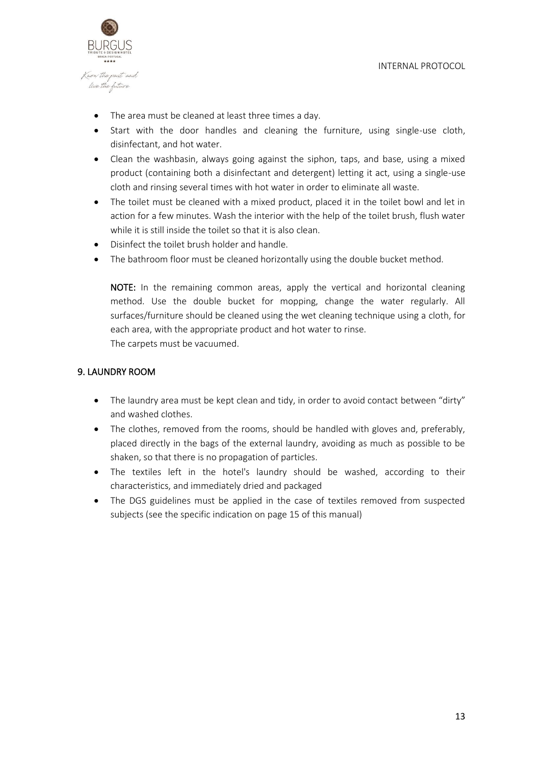

- The area must be cleaned at least three times a day.
- Start with the door handles and cleaning the furniture, using single-use cloth, disinfectant, and hot water.
- Clean the washbasin, always going against the siphon, taps, and base, using a mixed product (containing both a disinfectant and detergent) letting it act, using a single-use cloth and rinsing several times with hot water in order to eliminate all waste.
- The toilet must be cleaned with a mixed product, placed it in the toilet bowl and let in action for a few minutes. Wash the interior with the help of the toilet brush, flush water while it is still inside the toilet so that it is also clean.
- Disinfect the toilet brush holder and handle.
- The bathroom floor must be cleaned horizontally using the double bucket method.

NOTE: In the remaining common areas, apply the vertical and horizontal cleaning method. Use the double bucket for mopping, change the water regularly. All surfaces/furniture should be cleaned using the wet cleaning technique using a cloth, for each area, with the appropriate product and hot water to rinse. The carpets must be vacuumed.

#### 9. LAUNDRY ROOM

- The laundry area must be kept clean and tidy, in order to avoid contact between "dirty" and washed clothes.
- The clothes, removed from the rooms, should be handled with gloves and, preferably, placed directly in the bags of the external laundry, avoiding as much as possible to be shaken, so that there is no propagation of particles.
- The textiles left in the hotel's laundry should be washed, according to their characteristics, and immediately dried and packaged
- The DGS guidelines must be applied in the case of textiles removed from suspected subjects (see the specific indication on page 15 of this manual)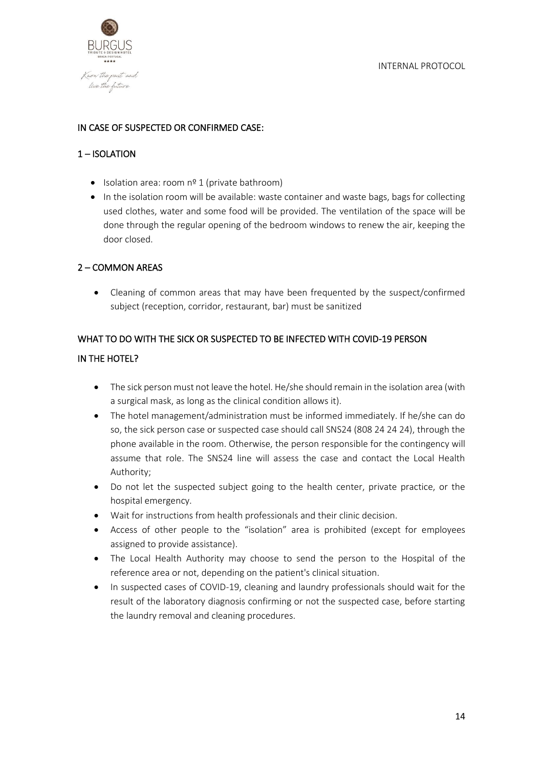Know the past and live the future

#### IN CASE OF SUSPECTED OR CONFIRMED CASE:

#### 1 – ISOLATION

- Isolation area: room nº 1 (private bathroom)
- In the isolation room will be available: waste container and waste bags, bags for collecting used clothes, water and some food will be provided. The ventilation of the space will be done through the regular opening of the bedroom windows to renew the air, keeping the door closed.

#### 2 – COMMON AREAS

• Cleaning of common areas that may have been frequented by the suspect/confirmed subject (reception, corridor, restaurant, bar) must be sanitized

#### WHAT TO DO WITH THE SICK OR SUSPECTED TO BE INFECTED WITH COVID-19 PERSON

#### IN THE HOTEL?

- The sick person must not leave the hotel. He/she should remain in the isolation area (with a surgical mask, as long as the clinical condition allows it).
- The hotel management/administration must be informed immediately. If he/she can do so, the sick person case or suspected case should call SNS24 (808 24 24 24), through the phone available in the room. Otherwise, the person responsible for the contingency will assume that role. The SNS24 line will assess the case and contact the Local Health Authority;
- Do not let the suspected subject going to the health center, private practice, or the hospital emergency.
- Wait for instructions from health professionals and their clinic decision.
- Access of other people to the "isolation" area is prohibited (except for employees assigned to provide assistance).
- The Local Health Authority may choose to send the person to the Hospital of the reference area or not, depending on the patient's clinical situation.
- In suspected cases of COVID-19, cleaning and laundry professionals should wait for the result of the laboratory diagnosis confirming or not the suspected case, before starting the laundry removal and cleaning procedures.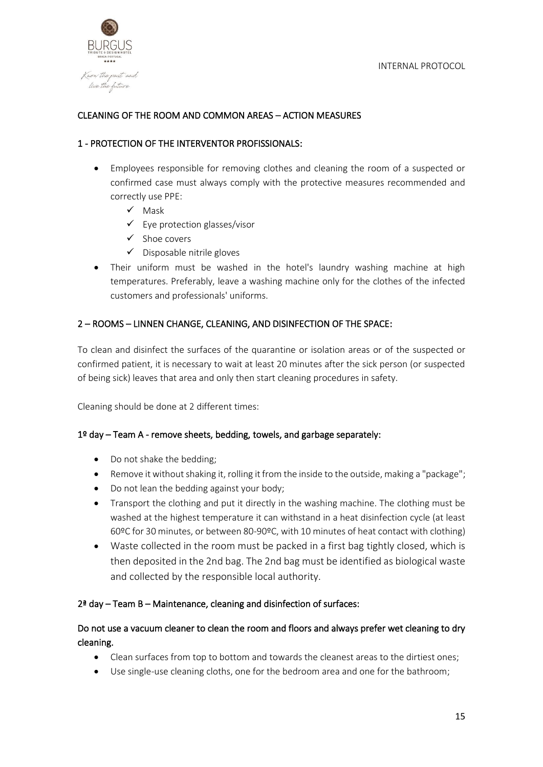

#### CLEANING OF THE ROOM AND COMMON AREAS – ACTION MEASURES

#### 1 - PROTECTION OF THE INTERVENTOR PROFISSIONALS:

- Employees responsible for removing clothes and cleaning the room of a suspected or confirmed case must always comply with the protective measures recommended and correctly use PPE:
	- ✓ Mask
	- $\checkmark$  Eye protection glasses/visor
	- ✓ Shoe covers
	- $\checkmark$  Disposable nitrile gloves
- Their uniform must be washed in the hotel's laundry washing machine at high temperatures. Preferably, leave a washing machine only for the clothes of the infected customers and professionals' uniforms.

#### 2 – ROOMS – LINNEN CHANGE, CLEANING, AND DISINFECTION OF THE SPACE:

To clean and disinfect the surfaces of the quarantine or isolation areas or of the suspected or confirmed patient, it is necessary to wait at least 20 minutes after the sick person (or suspected of being sick) leaves that area and only then start cleaning procedures in safety.

Cleaning should be done at 2 different times:

#### 1º day – Team A - remove sheets, bedding, towels, and garbage separately:

- Do not shake the bedding;
- Remove it without shaking it, rolling it from the inside to the outside, making a "package";
- Do not lean the bedding against your body;
- Transport the clothing and put it directly in the washing machine. The clothing must be washed at the highest temperature it can withstand in a heat disinfection cycle (at least 60ºC for 30 minutes, or between 80-90ºC, with 10 minutes of heat contact with clothing)
- Waste collected in the room must be packed in a first bag tightly closed, which is then deposited in the 2nd bag. The 2nd bag must be identified as biological waste and collected by the responsible local authority.

#### 2ª day – Team B – Maintenance, cleaning and disinfection of surfaces:

#### Do not use a vacuum cleaner to clean the room and floors and always prefer wet cleaning to dry cleaning.

- Clean surfaces from top to bottom and towards the cleanest areas to the dirtiest ones;
- Use single-use cleaning cloths, one for the bedroom area and one for the bathroom;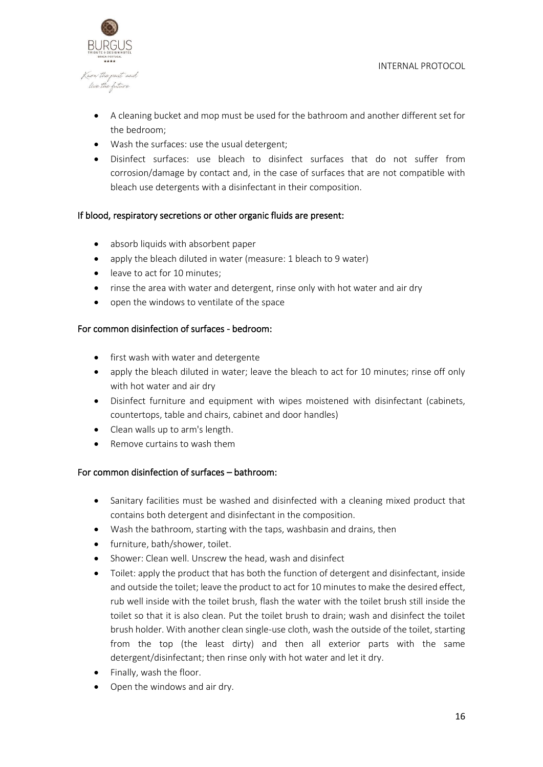

- A cleaning bucket and mop must be used for the bathroom and another different set for the bedroom;
- Wash the surfaces: use the usual detergent;
- Disinfect surfaces: use bleach to disinfect surfaces that do not suffer from corrosion/damage by contact and, in the case of surfaces that are not compatible with bleach use detergents with a disinfectant in their composition.

#### If blood, respiratory secretions or other organic fluids are present:

- absorb liquids with absorbent paper
- apply the bleach diluted in water (measure: 1 bleach to 9 water)
- leave to act for 10 minutes;
- rinse the area with water and detergent, rinse only with hot water and air dry
- open the windows to ventilate of the space

#### For common disinfection of surfaces - bedroom:

- first wash with water and detergente
- apply the bleach diluted in water; leave the bleach to act for 10 minutes; rinse off only with hot water and air dry
- Disinfect furniture and equipment with wipes moistened with disinfectant (cabinets, countertops, table and chairs, cabinet and door handles)
- Clean walls up to arm's length.
- Remove curtains to wash them

#### For common disinfection of surfaces – bathroom:

- Sanitary facilities must be washed and disinfected with a cleaning mixed product that contains both detergent and disinfectant in the composition.
- Wash the bathroom, starting with the taps, washbasin and drains, then
- furniture, bath/shower, toilet.
- Shower: Clean well. Unscrew the head, wash and disinfect
- Toilet: apply the product that has both the function of detergent and disinfectant, inside and outside the toilet; leave the product to act for 10 minutes to make the desired effect, rub well inside with the toilet brush, flash the water with the toilet brush still inside the toilet so that it is also clean. Put the toilet brush to drain; wash and disinfect the toilet brush holder. With another clean single-use cloth, wash the outside of the toilet, starting from the top (the least dirty) and then all exterior parts with the same detergent/disinfectant; then rinse only with hot water and let it dry.
- Finally, wash the floor.
- Open the windows and air dry.